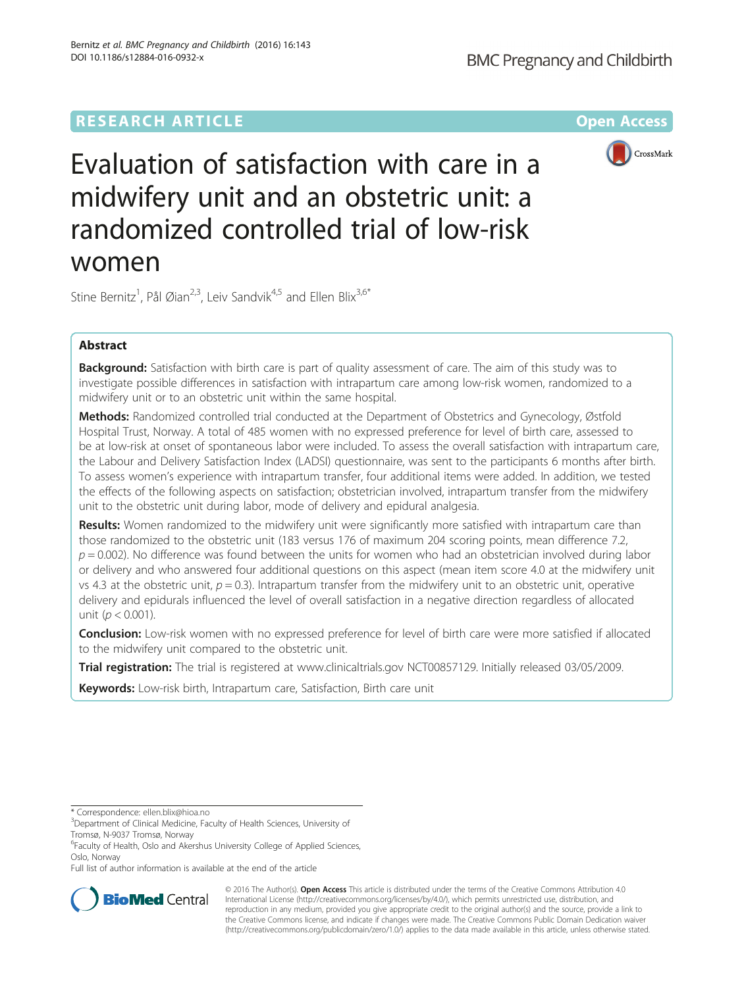# **RESEARCH ARTICLE Example 2014 12:30 The Company Access** (RESEARCH ARTICLE



Evaluation of satisfaction with care in a midwifery unit and an obstetric unit: a randomized controlled trial of low-risk women

Stine Bernitz<sup>1</sup>, Pål Øian<sup>2,3</sup>, Leiv Sandvik<sup>4,5</sup> and Ellen Blix<sup>3,6\*</sup>

## Abstract

**Background:** Satisfaction with birth care is part of quality assessment of care. The aim of this study was to investigate possible differences in satisfaction with intrapartum care among low-risk women, randomized to a midwifery unit or to an obstetric unit within the same hospital.

Methods: Randomized controlled trial conducted at the Department of Obstetrics and Gynecology, Østfold Hospital Trust, Norway. A total of 485 women with no expressed preference for level of birth care, assessed to be at low-risk at onset of spontaneous labor were included. To assess the overall satisfaction with intrapartum care, the Labour and Delivery Satisfaction Index (LADSI) questionnaire, was sent to the participants 6 months after birth. To assess women's experience with intrapartum transfer, four additional items were added. In addition, we tested the effects of the following aspects on satisfaction; obstetrician involved, intrapartum transfer from the midwifery unit to the obstetric unit during labor, mode of delivery and epidural analgesia.

Results: Women randomized to the midwifery unit were significantly more satisfied with intrapartum care than those randomized to the obstetric unit (183 versus 176 of maximum 204 scoring points, mean difference 7.2,  $p = 0.002$ ). No difference was found between the units for women who had an obstetrician involved during labor or delivery and who answered four additional questions on this aspect (mean item score 4.0 at the midwifery unit vs 4.3 at the obstetric unit,  $p = 0.3$ ). Intrapartum transfer from the midwifery unit to an obstetric unit, operative delivery and epidurals influenced the level of overall satisfaction in a negative direction regardless of allocated unit ( $p < 0.001$ ).

**Conclusion:** Low-risk women with no expressed preference for level of birth care were more satisfied if allocated to the midwifery unit compared to the obstetric unit.

Trial registration: The trial is registered at [www.clinicaltrials.gov](http://www.clinicaltrials.gov/) [NCT00857129](http://www.clinicaltrials.gov/NCT00857129). Initially released 03/05/2009.

Keywords: Low-risk birth, Intrapartum care, Satisfaction, Birth care unit

Full list of author information is available at the end of the article



© 2016 The Author(s). Open Access This article is distributed under the terms of the Creative Commons Attribution 4.0 International License [\(http://creativecommons.org/licenses/by/4.0/](http://creativecommons.org/licenses/by/4.0/)), which permits unrestricted use, distribution, and reproduction in any medium, provided you give appropriate credit to the original author(s) and the source, provide a link to the Creative Commons license, and indicate if changes were made. The Creative Commons Public Domain Dedication waiver [\(http://creativecommons.org/publicdomain/zero/1.0/](http://creativecommons.org/publicdomain/zero/1.0/)) applies to the data made available in this article, unless otherwise stated.

<sup>\*</sup> Correspondence: [ellen.blix@hioa.no](mailto:ellen.blix@hioa.no) <sup>3</sup>

<sup>&</sup>lt;sup>3</sup>Department of Clinical Medicine, Faculty of Health Sciences, University of Tromsø, N-9037 Tromsø, Norway

<sup>&</sup>lt;sup>6</sup>Faculty of Health, Oslo and Akershus University College of Applied Sciences, Oslo, Norway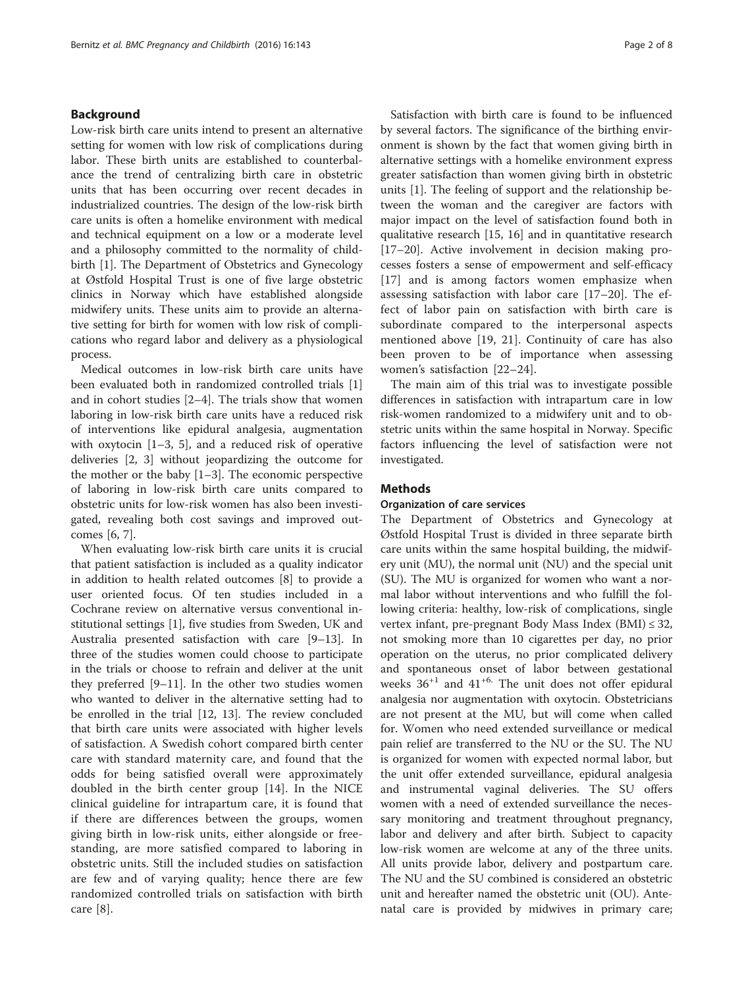## Background

Low-risk birth care units intend to present an alternative setting for women with low risk of complications during labor. These birth units are established to counterbalance the trend of centralizing birth care in obstetric units that has been occurring over recent decades in industrialized countries. The design of the low-risk birth care units is often a homelike environment with medical and technical equipment on a low or a moderate level and a philosophy committed to the normality of childbirth [[1\]](#page-6-0). The Department of Obstetrics and Gynecology at Østfold Hospital Trust is one of five large obstetric clinics in Norway which have established alongside midwifery units. These units aim to provide an alternative setting for birth for women with low risk of complications who regard labor and delivery as a physiological process.

Medical outcomes in low-risk birth care units have been evaluated both in randomized controlled trials [\[1](#page-6-0)] and in cohort studies [\[2](#page-6-0)–[4](#page-7-0)]. The trials show that women laboring in low-risk birth care units have a reduced risk of interventions like epidural analgesia, augmentation with oxytocin [\[1](#page-6-0)–[3,](#page-6-0) [5\]](#page-7-0), and a reduced risk of operative deliveries [[2, 3](#page-6-0)] without jeopardizing the outcome for the mother or the baby  $[1-3]$  $[1-3]$  $[1-3]$  $[1-3]$  $[1-3]$ . The economic perspective of laboring in low-risk birth care units compared to obstetric units for low-risk women has also been investigated, revealing both cost savings and improved outcomes [[6, 7\]](#page-7-0).

When evaluating low-risk birth care units it is crucial that patient satisfaction is included as a quality indicator in addition to health related outcomes [[8\]](#page-7-0) to provide a user oriented focus. Of ten studies included in a Cochrane review on alternative versus conventional institutional settings [[1\]](#page-6-0), five studies from Sweden, UK and Australia presented satisfaction with care [\[9](#page-7-0)–[13](#page-7-0)]. In three of the studies women could choose to participate in the trials or choose to refrain and deliver at the unit they preferred [\[9](#page-7-0)–[11\]](#page-7-0). In the other two studies women who wanted to deliver in the alternative setting had to be enrolled in the trial [[12](#page-7-0), [13\]](#page-7-0). The review concluded that birth care units were associated with higher levels of satisfaction. A Swedish cohort compared birth center care with standard maternity care, and found that the odds for being satisfied overall were approximately doubled in the birth center group [[14](#page-7-0)]. In the NICE clinical guideline for intrapartum care, it is found that if there are differences between the groups, women giving birth in low-risk units, either alongside or freestanding, are more satisfied compared to laboring in obstetric units. Still the included studies on satisfaction are few and of varying quality; hence there are few randomized controlled trials on satisfaction with birth care [\[8](#page-7-0)].

Satisfaction with birth care is found to be influenced by several factors. The significance of the birthing environment is shown by the fact that women giving birth in alternative settings with a homelike environment express greater satisfaction than women giving birth in obstetric units [\[1](#page-6-0)]. The feeling of support and the relationship between the woman and the caregiver are factors with major impact on the level of satisfaction found both in qualitative research [\[15, 16](#page-7-0)] and in quantitative research [[17](#page-7-0)–[20](#page-7-0)]. Active involvement in decision making processes fosters a sense of empowerment and self-efficacy [[17\]](#page-7-0) and is among factors women emphasize when assessing satisfaction with labor care [[17](#page-7-0)–[20\]](#page-7-0). The effect of labor pain on satisfaction with birth care is subordinate compared to the interpersonal aspects mentioned above [\[19](#page-7-0), [21\]](#page-7-0). Continuity of care has also been proven to be of importance when assessing women's satisfaction [\[22](#page-7-0)–[24](#page-7-0)].

The main aim of this trial was to investigate possible differences in satisfaction with intrapartum care in low risk-women randomized to a midwifery unit and to obstetric units within the same hospital in Norway. Specific factors influencing the level of satisfaction were not investigated.

## Methods

## Organization of care services

The Department of Obstetrics and Gynecology at Østfold Hospital Trust is divided in three separate birth care units within the same hospital building, the midwifery unit (MU), the normal unit (NU) and the special unit (SU). The MU is organized for women who want a normal labor without interventions and who fulfill the following criteria: healthy, low-risk of complications, single vertex infant, pre-pregnant Body Mass Index (BMI)  $\leq$  32, not smoking more than 10 cigarettes per day, no prior operation on the uterus, no prior complicated delivery and spontaneous onset of labor between gestational weeks  $36^{+1}$  and  $41^{+6}$ . The unit does not offer epidural analgesia nor augmentation with oxytocin. Obstetricians are not present at the MU, but will come when called for. Women who need extended surveillance or medical pain relief are transferred to the NU or the SU. The NU is organized for women with expected normal labor, but the unit offer extended surveillance, epidural analgesia and instrumental vaginal deliveries. The SU offers women with a need of extended surveillance the necessary monitoring and treatment throughout pregnancy, labor and delivery and after birth. Subject to capacity low-risk women are welcome at any of the three units. All units provide labor, delivery and postpartum care. The NU and the SU combined is considered an obstetric unit and hereafter named the obstetric unit (OU). Antenatal care is provided by midwives in primary care;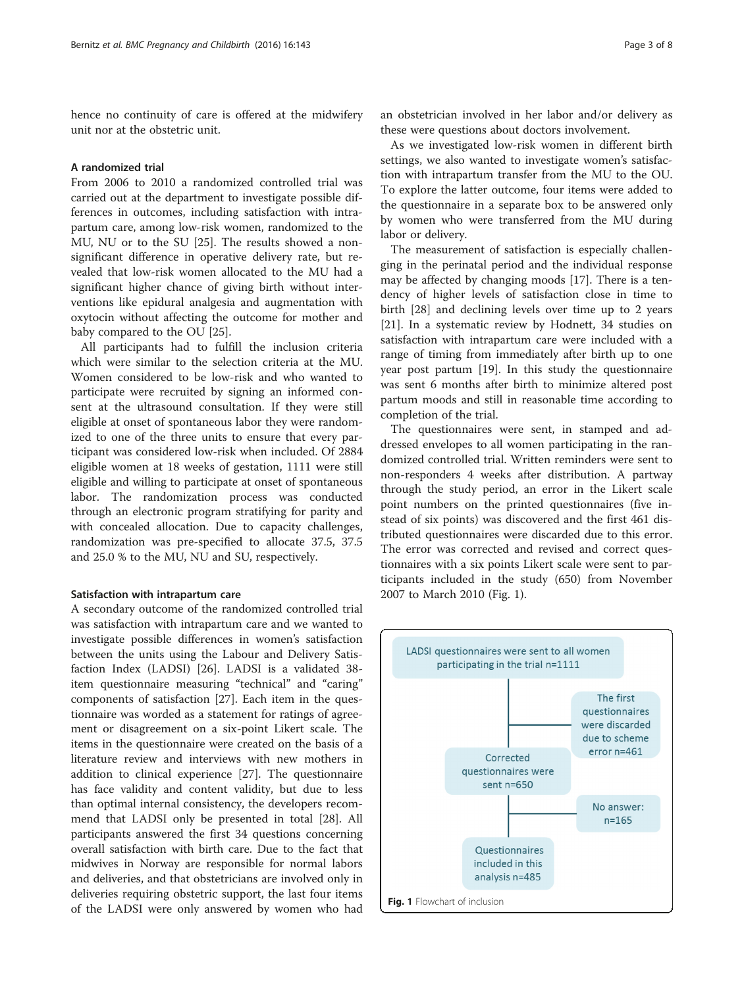hence no continuity of care is offered at the midwifery unit nor at the obstetric unit.

## A randomized trial

From 2006 to 2010 a randomized controlled trial was carried out at the department to investigate possible differences in outcomes, including satisfaction with intrapartum care, among low-risk women, randomized to the MU, NU or to the SU [\[25](#page-7-0)]. The results showed a nonsignificant difference in operative delivery rate, but revealed that low-risk women allocated to the MU had a significant higher chance of giving birth without interventions like epidural analgesia and augmentation with oxytocin without affecting the outcome for mother and baby compared to the OU [\[25\]](#page-7-0).

All participants had to fulfill the inclusion criteria which were similar to the selection criteria at the MU. Women considered to be low-risk and who wanted to participate were recruited by signing an informed consent at the ultrasound consultation. If they were still eligible at onset of spontaneous labor they were randomized to one of the three units to ensure that every participant was considered low-risk when included. Of 2884 eligible women at 18 weeks of gestation, 1111 were still eligible and willing to participate at onset of spontaneous labor. The randomization process was conducted through an electronic program stratifying for parity and with concealed allocation. Due to capacity challenges, randomization was pre-specified to allocate 37.5, 37.5 and 25.0 % to the MU, NU and SU, respectively.

#### Satisfaction with intrapartum care

A secondary outcome of the randomized controlled trial was satisfaction with intrapartum care and we wanted to investigate possible differences in women's satisfaction between the units using the Labour and Delivery Satisfaction Index (LADSI) [[26\]](#page-7-0). LADSI is a validated 38 item questionnaire measuring "technical" and "caring" components of satisfaction [\[27\]](#page-7-0). Each item in the questionnaire was worded as a statement for ratings of agreement or disagreement on a six-point Likert scale. The items in the questionnaire were created on the basis of a literature review and interviews with new mothers in addition to clinical experience [[27\]](#page-7-0). The questionnaire has face validity and content validity, but due to less than optimal internal consistency, the developers recommend that LADSI only be presented in total [[28](#page-7-0)]. All participants answered the first 34 questions concerning overall satisfaction with birth care. Due to the fact that midwives in Norway are responsible for normal labors and deliveries, and that obstetricians are involved only in deliveries requiring obstetric support, the last four items of the LADSI were only answered by women who had

an obstetrician involved in her labor and/or delivery as these were questions about doctors involvement.

As we investigated low-risk women in different birth settings, we also wanted to investigate women's satisfaction with intrapartum transfer from the MU to the OU. To explore the latter outcome, four items were added to the questionnaire in a separate box to be answered only by women who were transferred from the MU during labor or delivery.

The measurement of satisfaction is especially challenging in the perinatal period and the individual response may be affected by changing moods [\[17\]](#page-7-0). There is a tendency of higher levels of satisfaction close in time to birth [[28\]](#page-7-0) and declining levels over time up to 2 years [[21\]](#page-7-0). In a systematic review by Hodnett, 34 studies on satisfaction with intrapartum care were included with a range of timing from immediately after birth up to one year post partum [\[19\]](#page-7-0). In this study the questionnaire was sent 6 months after birth to minimize altered post partum moods and still in reasonable time according to completion of the trial.

The questionnaires were sent, in stamped and addressed envelopes to all women participating in the randomized controlled trial. Written reminders were sent to non-responders 4 weeks after distribution. A partway through the study period, an error in the Likert scale point numbers on the printed questionnaires (five instead of six points) was discovered and the first 461 distributed questionnaires were discarded due to this error. The error was corrected and revised and correct questionnaires with a six points Likert scale were sent to participants included in the study (650) from November 2007 to March 2010 (Fig. 1).

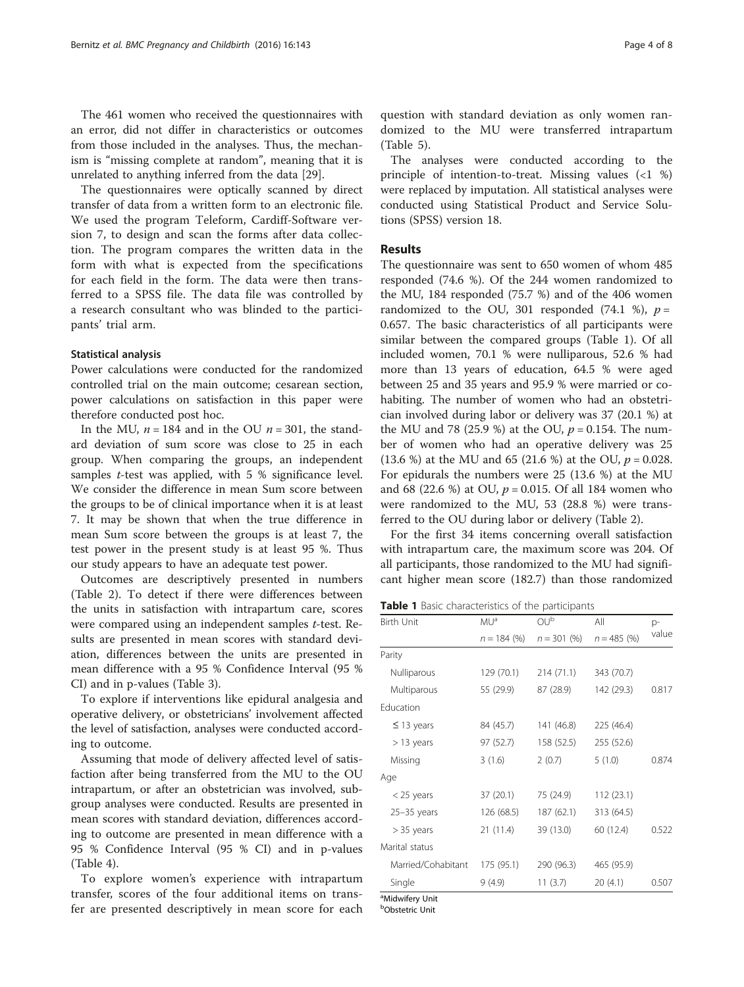The 461 women who received the questionnaires with an error, did not differ in characteristics or outcomes from those included in the analyses. Thus, the mechanism is "missing complete at random", meaning that it is unrelated to anything inferred from the data [[29\]](#page-7-0).

The questionnaires were optically scanned by direct transfer of data from a written form to an electronic file. We used the program Teleform, Cardiff-Software version 7, to design and scan the forms after data collection. The program compares the written data in the form with what is expected from the specifications for each field in the form. The data were then transferred to a SPSS file. The data file was controlled by a research consultant who was blinded to the participants' trial arm.

## Statistical analysis

Power calculations were conducted for the randomized controlled trial on the main outcome; cesarean section, power calculations on satisfaction in this paper were therefore conducted post hoc.

In the MU,  $n = 184$  and in the OU  $n = 301$ , the standard deviation of sum score was close to 25 in each group. When comparing the groups, an independent samples *t*-test was applied, with 5 % significance level. We consider the difference in mean Sum score between the groups to be of clinical importance when it is at least 7. It may be shown that when the true difference in mean Sum score between the groups is at least 7, the test power in the present study is at least 95 %. Thus our study appears to have an adequate test power.

Outcomes are descriptively presented in numbers (Table [2\)](#page-4-0). To detect if there were differences between the units in satisfaction with intrapartum care, scores were compared using an independent samples t-test. Results are presented in mean scores with standard deviation, differences between the units are presented in mean difference with a 95 % Confidence Interval (95 % CI) and in p-values (Table [3](#page-4-0)).

To explore if interventions like epidural analgesia and operative delivery, or obstetricians' involvement affected the level of satisfaction, analyses were conducted according to outcome.

Assuming that mode of delivery affected level of satisfaction after being transferred from the MU to the OU intrapartum, or after an obstetrician was involved, subgroup analyses were conducted. Results are presented in mean scores with standard deviation, differences according to outcome are presented in mean difference with a 95 % Confidence Interval (95 % CI) and in p-values (Table [4\)](#page-5-0).

To explore women's experience with intrapartum transfer, scores of the four additional items on transfer are presented descriptively in mean score for each question with standard deviation as only women randomized to the MU were transferred intrapartum

The analyses were conducted according to the principle of intention-to-treat. Missing values (<1 %) were replaced by imputation. All statistical analyses were conducted using Statistical Product and Service Solutions (SPSS) version 18.

## Results

(Table [5\)](#page-5-0).

The questionnaire was sent to 650 women of whom 485 responded (74.6 %). Of the 244 women randomized to the MU, 184 responded (75.7 %) and of the 406 women randomized to the OU, 301 responded (74.1 %),  $p =$ 0.657. The basic characteristics of all participants were similar between the compared groups (Table 1). Of all included women, 70.1 % were nulliparous, 52.6 % had more than 13 years of education, 64.5 % were aged between 25 and 35 years and 95.9 % were married or cohabiting. The number of women who had an obstetrician involved during labor or delivery was 37 (20.1 %) at the MU and 78 (25.9 %) at the OU,  $p = 0.154$ . The number of women who had an operative delivery was 25 (13.6 %) at the MU and 65 (21.6 %) at the OU,  $p = 0.028$ . For epidurals the numbers were 25 (13.6 %) at the MU and 68 (22.6 %) at OU,  $p = 0.015$ . Of all 184 women who were randomized to the MU, 53 (28.8 %) were transferred to the OU during labor or delivery (Table [2\)](#page-4-0).

For the first 34 items concerning overall satisfaction with intrapartum care, the maximum score was 204. Of all participants, those randomized to the MU had significant higher mean score (182.7) than those randomized

Table 1 Basic characteristics of the participants

| Birth Unit         | MUª<br>$n = 184$ (%) | $\mathsf{OU}^{\mathsf{b}}$<br>$n = 301 (%)$ | All<br>$n = 485$ (%) | p-<br>value |
|--------------------|----------------------|---------------------------------------------|----------------------|-------------|
|                    |                      |                                             |                      |             |
| Nulliparous        | 129 (70.1)           | 214 (71.1)                                  | 343 (70.7)           |             |
| Multiparous        | 55 (29.9)            | 87 (28.9)                                   | 142 (29.3)           | 0.817       |
| Education          |                      |                                             |                      |             |
| $\leq$ 13 years    | 84 (45.7)            | 141 (46.8)                                  | 225 (46.4)           |             |
| $>$ 13 years       | 97 (52.7)            | 158 (52.5)                                  | 255 (52.6)           |             |
| Missing            | 3(1.6)               | 2(0.7)                                      | 5(1.0)               | 0.874       |
| Age                |                      |                                             |                      |             |
| $<$ 25 years       | 37(20.1)             | 75 (24.9)                                   | 112(23.1)            |             |
| $25-35$ years      | 126 (68.5)           | 187 (62.1)                                  | 313 (64.5)           |             |
| $> 35$ years       | 21(11.4)             | 39 (13.0)                                   | 60 (12.4)            | 0.522       |
| Marital status     |                      |                                             |                      |             |
| Married/Cohabitant | 175 (95.1)           | 290 (96.3)                                  | 465 (95.9)           |             |
| Single             | 9(4.9)               | 11(3.7)                                     | 20(4.1)              | 0.507       |

<sup>a</sup>Midwifery Unit

b Obstetric Unit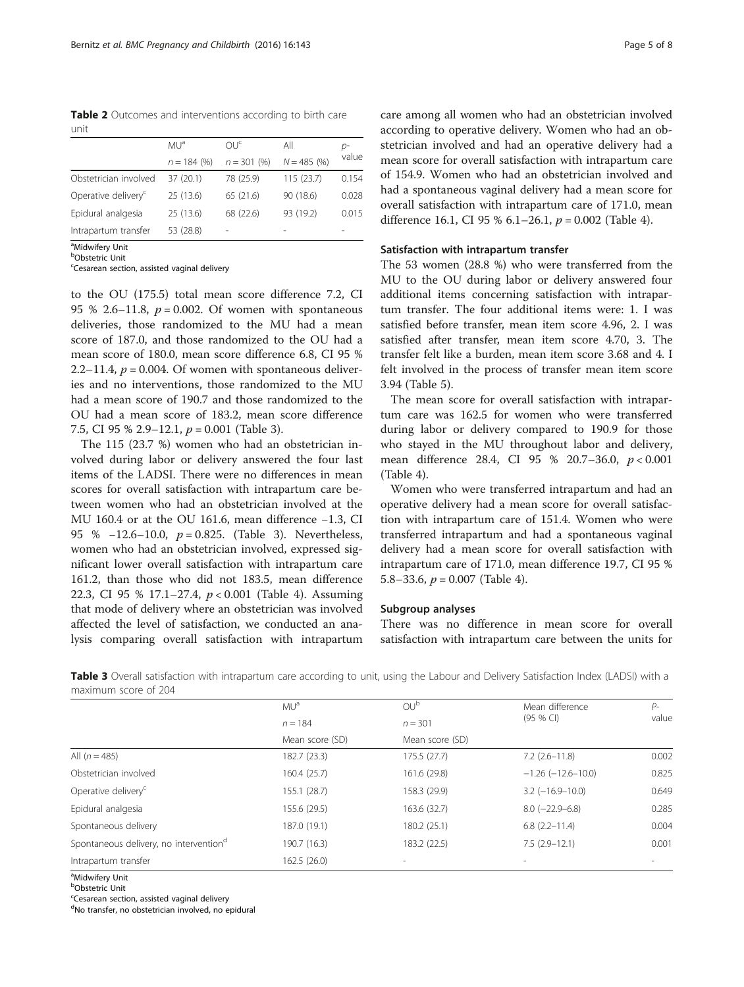<span id="page-4-0"></span>Table 2 Outcomes and interventions according to birth care unit

|                                 | MU <sup>a</sup> | OUP <sub>c</sub> | All           | D-    |
|---------------------------------|-----------------|------------------|---------------|-------|
|                                 | $n = 184$ (%)   | $n = 301(96)$    | $N = 485$ (%) | value |
| Obstetrician involved           | 37(20.1)        | 78 (25.9)        | 115(23.7)     | 0.154 |
| Operative delivery <sup>c</sup> | 25 (13.6)       | 65 (21.6)        | 90 (18.6)     | 0.028 |
| Epidural analgesia              | 25 (13.6)       | 68 (22.6)        | 93 (19.2)     | 0.015 |
| Intrapartum transfer            | 53 (28.8)       |                  |               |       |

<sup>a</sup>Midwifery Unit

**b**Obstetric Unit

<sup>c</sup>Cesarean section, assisted vaginal delivery

to the OU (175.5) total mean score difference 7.2, CI 95 % 2.6–11.8,  $p = 0.002$ . Of women with spontaneous deliveries, those randomized to the MU had a mean score of 187.0, and those randomized to the OU had a mean score of 180.0, mean score difference 6.8, CI 95 % 2.2–11.4,  $p = 0.004$ . Of women with spontaneous deliveries and no interventions, those randomized to the MU had a mean score of 190.7 and those randomized to the OU had a mean score of 183.2, mean score difference 7.5, CI 95 % 2.9–12.1,  $p = 0.001$  (Table 3).

The 115 (23.7 %) women who had an obstetrician involved during labor or delivery answered the four last items of the LADSI. There were no differences in mean scores for overall satisfaction with intrapartum care between women who had an obstetrician involved at the MU 160.4 or at the OU 161.6, mean difference −1.3, CI 95 % −12.6–10.0, *p* = 0.825. (Table 3). Nevertheless, women who had an obstetrician involved, expressed significant lower overall satisfaction with intrapartum care 161.2, than those who did not 183.5, mean difference 22.3, CI 95 % 17.1–27.4, p < 0.001 (Table [4](#page-5-0)). Assuming that mode of delivery where an obstetrician was involved affected the level of satisfaction, we conducted an analysis comparing overall satisfaction with intrapartum

care among all women who had an obstetrician involved according to operative delivery. Women who had an obstetrician involved and had an operative delivery had a mean score for overall satisfaction with intrapartum care of 154.9. Women who had an obstetrician involved and had a spontaneous vaginal delivery had a mean score for overall satisfaction with intrapartum care of 171.0, mean difference 16.1, CI 95 % 6.1–26.1,  $p = 0.002$  (Table [4\)](#page-5-0).

## Satisfaction with intrapartum transfer

The 53 women (28.8 %) who were transferred from the MU to the OU during labor or delivery answered four additional items concerning satisfaction with intrapartum transfer. The four additional items were: 1. I was satisfied before transfer, mean item score 4.96, 2. I was satisfied after transfer, mean item score 4.70, 3. The transfer felt like a burden, mean item score 3.68 and 4. I felt involved in the process of transfer mean item score 3.94 (Table [5\)](#page-5-0).

The mean score for overall satisfaction with intrapartum care was 162.5 for women who were transferred during labor or delivery compared to 190.9 for those who stayed in the MU throughout labor and delivery, mean difference 28.4, CI 95 % 20.7–36.0, p < 0.001 (Table [4\)](#page-5-0).

Women who were transferred intrapartum and had an operative delivery had a mean score for overall satisfaction with intrapartum care of 151.4. Women who were transferred intrapartum and had a spontaneous vaginal delivery had a mean score for overall satisfaction with intrapartum care of 171.0, mean difference 19.7, CI 95 % 5.8–33.6,  $p = 0.007$  (Table [4](#page-5-0)).

## Subgroup analyses

There was no difference in mean score for overall satisfaction with intrapartum care between the units for

|                                                    | MU <sup>a</sup>              | OU <sup>b</sup>              | Mean difference<br>$(95%$ CI) | $P-$<br>value |
|----------------------------------------------------|------------------------------|------------------------------|-------------------------------|---------------|
|                                                    | $n = 184$<br>Mean score (SD) | $n = 301$<br>Mean score (SD) |                               |               |
|                                                    |                              |                              |                               |               |
| All $(n = 485)$                                    | 182.7 (23.3)                 | 175.5(27.7)                  | $7.2$ $(2.6 - 11.8)$          | 0.002         |
| Obstetrician involved                              | 160.4 (25.7)                 | 161.6 (29.8)                 | $-1.26$ ( $-12.6-10.0$ )      | 0.825         |
| Operative delivery <sup>c</sup>                    | 155.1 (28.7)                 | 158.3 (29.9)                 | $3.2$ ( $-16.9-10.0$ )        | 0.649         |
| Epidural analgesia                                 | 155.6 (29.5)                 | 163.6 (32.7)                 | $8.0$ (-22.9-6.8)             | 0.285         |
| Spontaneous delivery                               | 187.0 (19.1)                 | 180.2 (25.1)                 | $6.8$ $(2.2 - 11.4)$          | 0.004         |
| Spontaneous delivery, no intervention <sup>d</sup> | 190.7 (16.3)                 | 183.2 (22.5)                 | $7.5(2.9-12.1)$               | 0.001         |
| Intrapartum transfer                               | 162.5(26.0)                  |                              |                               |               |
|                                                    |                              |                              |                               |               |

Table 3 Overall satisfaction with intrapartum care according to unit, using the Labour and Delivery Satisfaction Index (LADSI) with a maximum score of 204

<sup>a</sup>Midwifery Unit

**b**Obstetric Unit

<sup>c</sup>Cesarean section, assisted vaginal delivery

<sup>d</sup>No transfer, no obstetrician involved, no epidural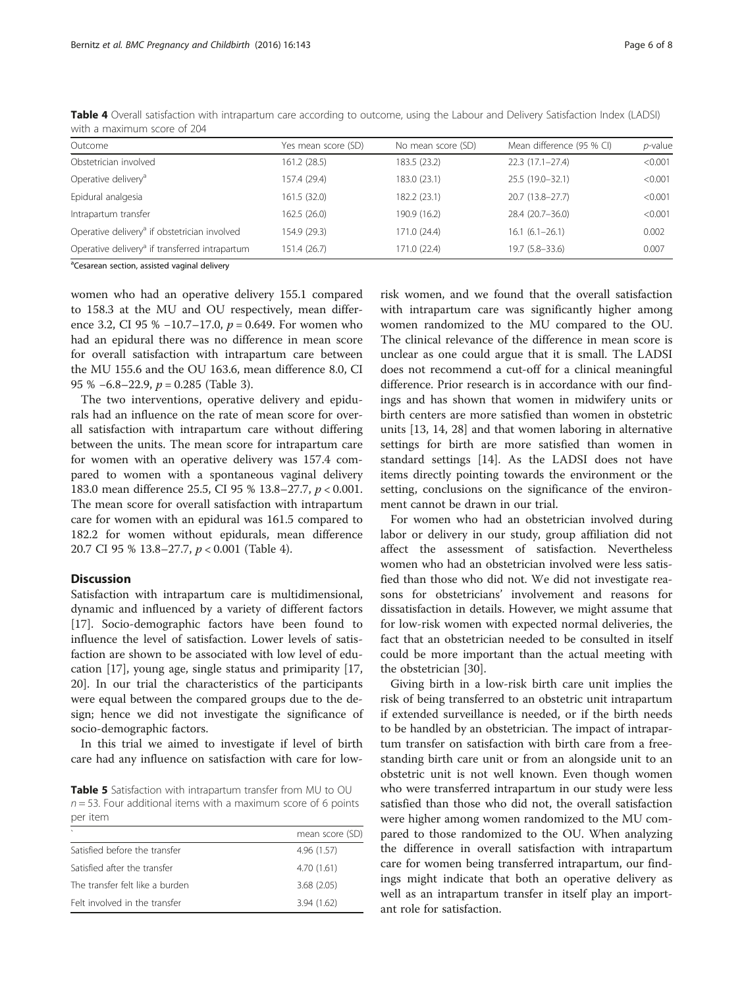| Outcome                                                    | Yes mean score (SD) | No mean score (SD) | Mean difference (95 % CI) | $p$ -value |
|------------------------------------------------------------|---------------------|--------------------|---------------------------|------------|
| Obstetrician involved                                      | 161.2 (28.5)        | 183.5 (23.2)       | $22.3(17.1-27.4)$         | < 0.001    |
| Operative delivery <sup>a</sup>                            | 157.4 (29.4)        | 183.0 (23.1)       | 25.5 (19.0-32.1)          | < 0.001    |
| Epidural analgesia                                         | 161.5 (32.0)        | 182.2 (23.1)       | 20.7 (13.8-27.7)          | < 0.001    |
| Intrapartum transfer                                       | 162.5 (26.0)        | 190.9 (16.2)       | 28.4 (20.7-36.0)          | < 0.001    |
| Operative delivery <sup>a</sup> if obstetrician involved   | 154.9 (29.3)        | 171.0 (24.4)       | $16.1 (6.1 - 26.1)$       | 0.002      |
| Operative delivery <sup>a</sup> if transferred intrapartum | 151.4 (26.7)        | 171.0 (22.4)       | $19.7(5.8 - 33.6)$        | 0.007      |

<span id="page-5-0"></span>Table 4 Overall satisfaction with intrapartum care according to outcome, using the Labour and Delivery Satisfaction Index (LADSI) with a maximum score of 204

<sup>a</sup>Cesarean section, assisted vaginal delivery

women who had an operative delivery 155.1 compared to 158.3 at the MU and OU respectively, mean difference 3.2, CI 95 %  $-10.7-17.0$ ,  $p = 0.649$ . For women who had an epidural there was no difference in mean score for overall satisfaction with intrapartum care between the MU 155.6 and the OU 163.6, mean difference 8.0, CI 95 % −6.8–22.9, p = 0.285 (Table [3](#page-4-0)).

The two interventions, operative delivery and epidurals had an influence on the rate of mean score for overall satisfaction with intrapartum care without differing between the units. The mean score for intrapartum care for women with an operative delivery was 157.4 compared to women with a spontaneous vaginal delivery 183.0 mean difference 25.5, CI 95 % 13.8–27.7, p < 0.001. The mean score for overall satisfaction with intrapartum care for women with an epidural was 161.5 compared to 182.2 for women without epidurals, mean difference 20.7 CI 95 % 13.8–27.7, p < 0.001 (Table 4).

## **Discussion**

Satisfaction with intrapartum care is multidimensional, dynamic and influenced by a variety of different factors [[17\]](#page-7-0). Socio-demographic factors have been found to influence the level of satisfaction. Lower levels of satisfaction are shown to be associated with low level of education [\[17](#page-7-0)], young age, single status and primiparity [[17](#page-7-0), [20\]](#page-7-0). In our trial the characteristics of the participants were equal between the compared groups due to the design; hence we did not investigate the significance of socio-demographic factors.

In this trial we aimed to investigate if level of birth care had any influence on satisfaction with care for low-

Table 5 Satisfaction with intrapartum transfer from MU to OU  $n = 53$ . Four additional items with a maximum score of 6 points per item

| $\lambda$                       | mean score (SD) |
|---------------------------------|-----------------|
| Satisfied before the transfer   | 4.96(1.57)      |
| Satisfied after the transfer    | 4.70(1.61)      |
| The transfer felt like a burden | 3.68(2.05)      |
| Felt involved in the transfer   | 3.94(1.62)      |

risk women, and we found that the overall satisfaction with intrapartum care was significantly higher among women randomized to the MU compared to the OU. The clinical relevance of the difference in mean score is unclear as one could argue that it is small. The LADSI does not recommend a cut-off for a clinical meaningful difference. Prior research is in accordance with our findings and has shown that women in midwifery units or birth centers are more satisfied than women in obstetric units [\[13](#page-7-0), [14](#page-7-0), [28](#page-7-0)] and that women laboring in alternative settings for birth are more satisfied than women in standard settings [[14\]](#page-7-0). As the LADSI does not have items directly pointing towards the environment or the setting, conclusions on the significance of the environment cannot be drawn in our trial.

For women who had an obstetrician involved during labor or delivery in our study, group affiliation did not affect the assessment of satisfaction. Nevertheless women who had an obstetrician involved were less satisfied than those who did not. We did not investigate reasons for obstetricians' involvement and reasons for dissatisfaction in details. However, we might assume that for low-risk women with expected normal deliveries, the fact that an obstetrician needed to be consulted in itself could be more important than the actual meeting with the obstetrician [\[30](#page-7-0)].

Giving birth in a low-risk birth care unit implies the risk of being transferred to an obstetric unit intrapartum if extended surveillance is needed, or if the birth needs to be handled by an obstetrician. The impact of intrapartum transfer on satisfaction with birth care from a freestanding birth care unit or from an alongside unit to an obstetric unit is not well known. Even though women who were transferred intrapartum in our study were less satisfied than those who did not, the overall satisfaction were higher among women randomized to the MU compared to those randomized to the OU. When analyzing the difference in overall satisfaction with intrapartum care for women being transferred intrapartum, our findings might indicate that both an operative delivery as well as an intrapartum transfer in itself play an important role for satisfaction.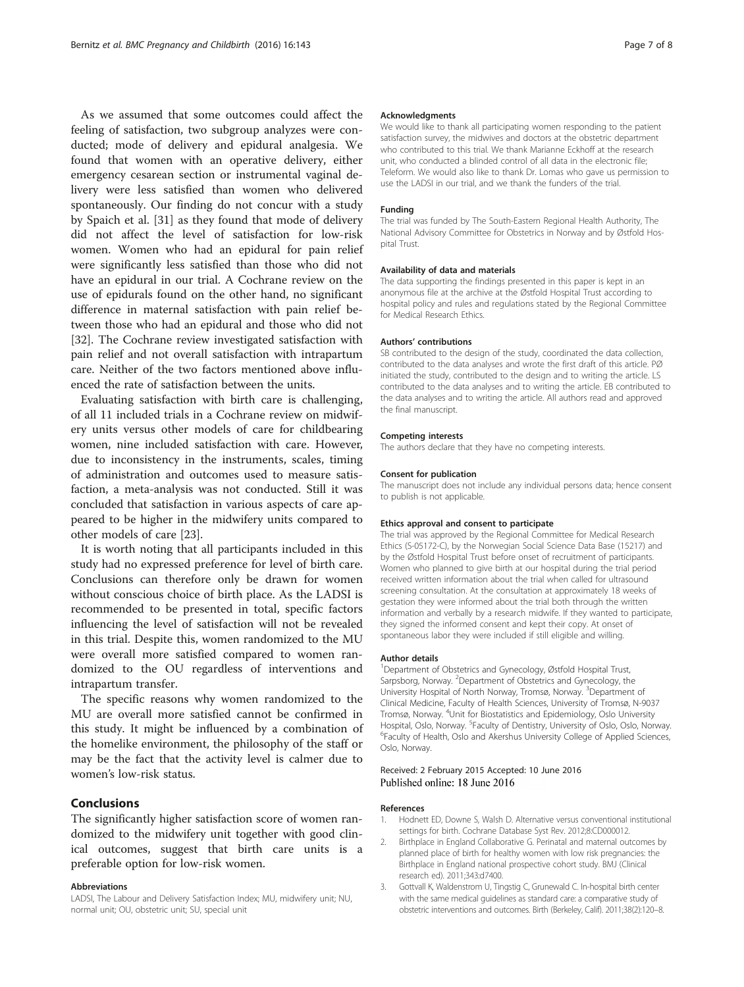<span id="page-6-0"></span>As we assumed that some outcomes could affect the feeling of satisfaction, two subgroup analyzes were conducted; mode of delivery and epidural analgesia. We found that women with an operative delivery, either emergency cesarean section or instrumental vaginal delivery were less satisfied than women who delivered spontaneously. Our finding do not concur with a study by Spaich et al. [\[31\]](#page-7-0) as they found that mode of delivery did not affect the level of satisfaction for low-risk women. Women who had an epidural for pain relief were significantly less satisfied than those who did not have an epidural in our trial. A Cochrane review on the use of epidurals found on the other hand, no significant difference in maternal satisfaction with pain relief between those who had an epidural and those who did not [[32\]](#page-7-0). The Cochrane review investigated satisfaction with pain relief and not overall satisfaction with intrapartum care. Neither of the two factors mentioned above influenced the rate of satisfaction between the units.

Evaluating satisfaction with birth care is challenging, of all 11 included trials in a Cochrane review on midwifery units versus other models of care for childbearing women, nine included satisfaction with care. However, due to inconsistency in the instruments, scales, timing of administration and outcomes used to measure satisfaction, a meta-analysis was not conducted. Still it was concluded that satisfaction in various aspects of care appeared to be higher in the midwifery units compared to other models of care [\[23](#page-7-0)].

It is worth noting that all participants included in this study had no expressed preference for level of birth care. Conclusions can therefore only be drawn for women without conscious choice of birth place. As the LADSI is recommended to be presented in total, specific factors influencing the level of satisfaction will not be revealed in this trial. Despite this, women randomized to the MU were overall more satisfied compared to women randomized to the OU regardless of interventions and intrapartum transfer.

The specific reasons why women randomized to the MU are overall more satisfied cannot be confirmed in this study. It might be influenced by a combination of the homelike environment, the philosophy of the staff or may be the fact that the activity level is calmer due to women's low-risk status.

## Conclusions

The significantly higher satisfaction score of women randomized to the midwifery unit together with good clinical outcomes, suggest that birth care units is a preferable option for low-risk women.

#### Abbreviations

LADSI, The Labour and Delivery Satisfaction Index; MU, midwifery unit; NU, normal unit; OU, obstetric unit; SU, special unit

#### Acknowledgments

We would like to thank all participating women responding to the patient satisfaction survey, the midwives and doctors at the obstetric department who contributed to this trial. We thank Marianne Eckhoff at the research unit, who conducted a blinded control of all data in the electronic file; Teleform. We would also like to thank Dr. Lomas who gave us permission to use the LADSI in our trial, and we thank the funders of the trial.

#### Funding

The trial was funded by The South-Eastern Regional Health Authority, The National Advisory Committee for Obstetrics in Norway and by Østfold Hospital Trust.

#### Availability of data and materials

The data supporting the findings presented in this paper is kept in an anonymous file at the archive at the Østfold Hospital Trust according to hospital policy and rules and regulations stated by the Regional Committee for Medical Research Ethics.

#### Authors' contributions

SB contributed to the design of the study, coordinated the data collection, contributed to the data analyses and wrote the first draft of this article. PØ initiated the study, contributed to the design and to writing the article. LS contributed to the data analyses and to writing the article. EB contributed to the data analyses and to writing the article. All authors read and approved the final manuscript.

#### Competing interests

The authors declare that they have no competing interests.

#### Consent for publication

The manuscript does not include any individual persons data; hence consent to publish is not applicable.

#### Ethics approval and consent to participate

The trial was approved by the Regional Committee for Medical Research Ethics (S-05172-C), by the Norwegian Social Science Data Base (15217) and by the Østfold Hospital Trust before onset of recruitment of participants. Women who planned to give birth at our hospital during the trial period received written information about the trial when called for ultrasound screening consultation. At the consultation at approximately 18 weeks of gestation they were informed about the trial both through the written information and verbally by a research midwife. If they wanted to participate, they signed the informed consent and kept their copy. At onset of spontaneous labor they were included if still eligible and willing.

## Author details

<sup>1</sup>Department of Obstetrics and Gynecology, Østfold Hospital Trust, Sarpsborg, Norway. <sup>2</sup>Department of Obstetrics and Gynecology, the University Hospital of North Norway, Tromsø, Norway. <sup>3</sup>Department of Clinical Medicine, Faculty of Health Sciences, University of Tromsø, N-9037 Tromsø, Norway. <sup>4</sup> Unit for Biostatistics and Epidemiology, Oslo University Hospital, Oslo, Norway. <sup>5</sup> Faculty of Dentistry, University of Oslo, Oslo, Norway.<br><sup>6</sup> Faculty of Host b, Oslo, and Akershus University Colloge of Applied Sciences. <sup>5</sup>Faculty of Health, Oslo and Akershus University College of Applied Sciences, Oslo, Norway.

## Received: 2 February 2015 Accepted: 10 June 2016 Published online: 18 June 2016

#### References

- 1. Hodnett ED, Downe S, Walsh D. Alternative versus conventional institutional settings for birth. Cochrane Database Syst Rev. 2012;8:CD000012.
- 2. Birthplace in England Collaborative G. Perinatal and maternal outcomes by planned place of birth for healthy women with low risk pregnancies: the Birthplace in England national prospective cohort study. BMJ (Clinical research ed). 2011;343:d7400.
- Gottvall K, Waldenstrom U, Tingstig C, Grunewald C. In-hospital birth center with the same medical guidelines as standard care: a comparative study of obstetric interventions and outcomes. Birth (Berkeley, Calif). 2011;38(2):120–8.